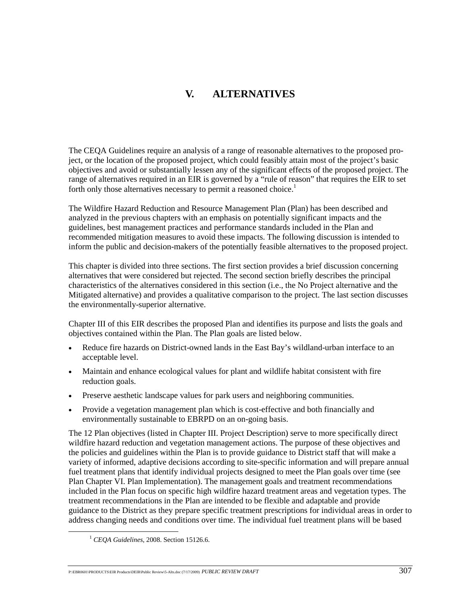# **V. ALTERNATIVES**

The CEQA Guidelines require an analysis of a range of reasonable alternatives to the proposed project, or the location of the proposed project, which could feasibly attain most of the project's basic objectives and avoid or substantially lessen any of the significant effects of the proposed project. The range of alternatives required in an EIR is governed by a "rule of reason" that requires the EIR to set forth only those alternatives necessary to permit a reasoned choice.<sup>1</sup>

The Wildfire Hazard Reduction and Resource Management Plan (Plan) has been described and analyzed in the previous chapters with an emphasis on potentially significant impacts and the guidelines, best management practices and performance standards included in the Plan and recommended mitigation measures to avoid these impacts. The following discussion is intended to inform the public and decision-makers of the potentially feasible alternatives to the proposed project.

This chapter is divided into three sections. The first section provides a brief discussion concerning alternatives that were considered but rejected. The second section briefly describes the principal characteristics of the alternatives considered in this section (i.e., the No Project alternative and the Mitigated alternative) and provides a qualitative comparison to the project. The last section discusses the environmentally-superior alternative.

Chapter III of this EIR describes the proposed Plan and identifies its purpose and lists the goals and objectives contained within the Plan. The Plan goals are listed below.

- Reduce fire hazards on District-owned lands in the East Bay's wildland-urban interface to an acceptable level.
- Maintain and enhance ecological values for plant and wildlife habitat consistent with fire reduction goals.
- Preserve aesthetic landscape values for park users and neighboring communities.
- Provide a vegetation management plan which is cost-effective and both financially and environmentally sustainable to EBRPD on an on-going basis.

The 12 Plan objectives (listed in Chapter III. Project Description) serve to more specifically direct wildfire hazard reduction and vegetation management actions. The purpose of these objectives and the policies and guidelines within the Plan is to provide guidance to District staff that will make a variety of informed, adaptive decisions according to site-specific information and will prepare annual fuel treatment plans that identify individual projects designed to meet the Plan goals over time (see Plan Chapter VI. Plan Implementation). The management goals and treatment recommendations included in the Plan focus on specific high wildfire hazard treatment areas and vegetation types. The treatment recommendations in the Plan are intended to be flexible and adaptable and provide guidance to the District as they prepare specific treatment prescriptions for individual areas in order to address changing needs and conditions over time. The individual fuel treatment plans will be based

 <sup>1</sup> *CEQA Guidelines*, 2008. Section 15126.6.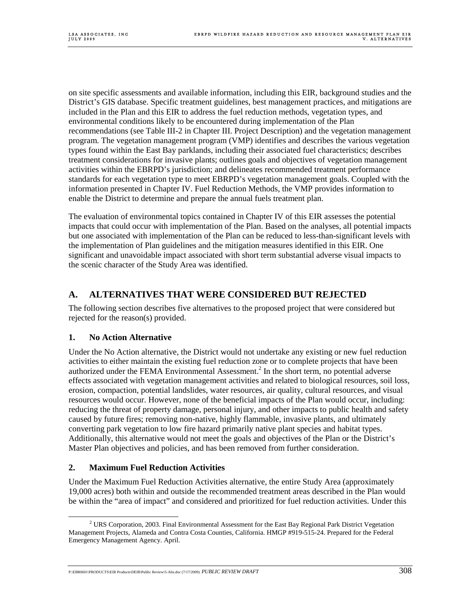on site specific assessments and available information, including this EIR, background studies and the District's GIS database. Specific treatment guidelines, best management practices, and mitigations are included in the Plan and this EIR to address the fuel reduction methods, vegetation types, and environmental conditions likely to be encountered during implementation of the Plan recommendations (see Table III-2 in Chapter III. Project Description) and the vegetation management program. The vegetation management program (VMP) identifies and describes the various vegetation types found within the East Bay parklands, including their associated fuel characteristics; describes treatment considerations for invasive plants; outlines goals and objectives of vegetation management activities within the EBRPD's jurisdiction; and delineates recommended treatment performance standards for each vegetation type to meet EBRPD's vegetation management goals. Coupled with the information presented in Chapter IV. Fuel Reduction Methods, the VMP provides information to enable the District to determine and prepare the annual fuels treatment plan.

The evaluation of environmental topics contained in Chapter IV of this EIR assesses the potential impacts that could occur with implementation of the Plan. Based on the analyses, all potential impacts but one associated with implementation of the Plan can be reduced to less-than-significant levels with the implementation of Plan guidelines and the mitigation measures identified in this EIR. One significant and unavoidable impact associated with short term substantial adverse visual impacts to the scenic character of the Study Area was identified.

# **A. ALTERNATIVES THAT WERE CONSIDERED BUT REJECTED**

The following section describes five alternatives to the proposed project that were considered but rejected for the reason(s) provided.

#### **1. No Action Alternative**

Under the No Action alternative, the District would not undertake any existing or new fuel reduction activities to either maintain the existing fuel reduction zone or to complete projects that have been authorized under the FEMA Environmental Assessment.<sup>2</sup> In the short term, no potential adverse effects associated with vegetation management activities and related to biological resources, soil loss, erosion, compaction, potential landslides, water resources, air quality, cultural resources, and visual resources would occur. However, none of the beneficial impacts of the Plan would occur, including: reducing the threat of property damage, personal injury, and other impacts to public health and safety caused by future fires; removing non-native, highly flammable, invasive plants, and ultimately converting park vegetation to low fire hazard primarily native plant species and habitat types. Additionally, this alternative would not meet the goals and objectives of the Plan or the District's Master Plan objectives and policies, and has been removed from further consideration.

## **2. Maximum Fuel Reduction Activities**

Under the Maximum Fuel Reduction Activities alternative, the entire Study Area (approximately 19,000 acres) both within and outside the recommended treatment areas described in the Plan would be within the "area of impact" and considered and prioritized for fuel reduction activities. Under this

P:\EBR0601\PRODUCTS\FIR Products\DEIR\Public Review\5-Alts.doc (7/17/2009) *PUBLIC REVIEW DRAFT* 3088

 $\overline{\phantom{a}}$ <sup>2</sup> URS Corporation, 2003. Final Environmental Assessment for the East Bay Regional Park District Vegetation Management Projects, Alameda and Contra Costa Counties, California. HMGP #919-515-24. Prepared for the Federal Emergency Management Agency. April.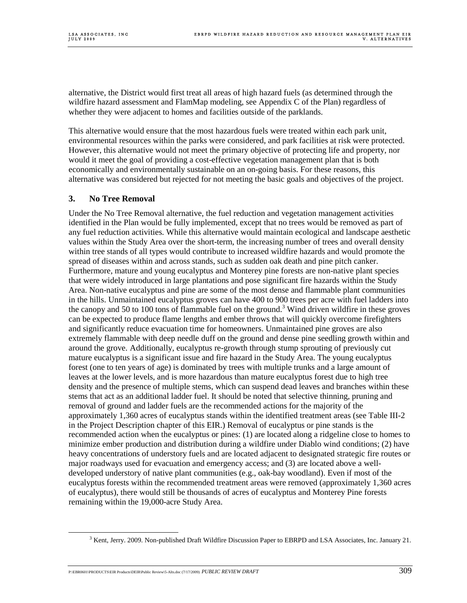alternative, the District would first treat all areas of high hazard fuels (as determined through the wildfire hazard assessment and FlamMap modeling, see Appendix C of the Plan) regardless of whether they were adjacent to homes and facilities outside of the parklands.

This alternative would ensure that the most hazardous fuels were treated within each park unit, environmental resources within the parks were considered, and park facilities at risk were protected. However, this alternative would not meet the primary objective of protecting life and property, nor would it meet the goal of providing a cost-effective vegetation management plan that is both economically and environmentally sustainable on an on-going basis. For these reasons, this alternative was considered but rejected for not meeting the basic goals and objectives of the project.

### **3. No Tree Removal**

Under the No Tree Removal alternative, the fuel reduction and vegetation management activities identified in the Plan would be fully implemented, except that no trees would be removed as part of any fuel reduction activities. While this alternative would maintain ecological and landscape aesthetic values within the Study Area over the short-term, the increasing number of trees and overall density within tree stands of all types would contribute to increased wildfire hazards and would promote the spread of diseases within and across stands, such as sudden oak death and pine pitch canker. Furthermore, mature and young eucalyptus and Monterey pine forests are non-native plant species that were widely introduced in large plantations and pose significant fire hazards within the Study Area. Non-native eucalyptus and pine are some of the most dense and flammable plant communities in the hills. Unmaintained eucalyptus groves can have 400 to 900 trees per acre with fuel ladders into the canopy and 50 to 100 tons of flammable fuel on the ground.<sup>3</sup> Wind driven wildfire in these groves can be expected to produce flame lengths and ember throws that will quickly overcome firefighters and significantly reduce evacuation time for homeowners. Unmaintained pine groves are also extremely flammable with deep needle duff on the ground and dense pine seedling growth within and around the grove. Additionally, eucalyptus re-growth through stump sprouting of previously cut mature eucalyptus is a significant issue and fire hazard in the Study Area. The young eucalyptus forest (one to ten years of age) is dominated by trees with multiple trunks and a large amount of leaves at the lower levels, and is more hazardous than mature eucalyptus forest due to high tree density and the presence of multiple stems, which can suspend dead leaves and branches within these stems that act as an additional ladder fuel. It should be noted that selective thinning, pruning and removal of ground and ladder fuels are the recommended actions for the majority of the approximately 1,360 acres of eucalyptus stands within the identified treatment areas (see Table III-2 in the Project Description chapter of this EIR.) Removal of eucalyptus or pine stands is the recommended action when the eucalyptus or pines: (1) are located along a ridgeline close to homes to minimize ember production and distribution during a wildfire under Diablo wind conditions; (2) have heavy concentrations of understory fuels and are located adjacent to designated strategic fire routes or major roadways used for evacuation and emergency access; and (3) are located above a welldeveloped understory of native plant communities (e.g., oak-bay woodland). Even if most of the eucalyptus forests within the recommended treatment areas were removed (approximately 1,360 acres of eucalyptus), there would still be thousands of acres of eucalyptus and Monterey Pine forests remaining within the 19,000-acre Study Area.

P:\EBR0601\PRODUCTS\EIR Products\DEIR\Public Review\5-Alts.doc (7/17/2009) *PUBLIC REVIEW DRAFT* 3099

 $\frac{1}{3}$  $3$  Kent, Jerry. 2009. Non-published Draft Wildfire Discussion Paper to EBRPD and LSA Associates, Inc. January 21.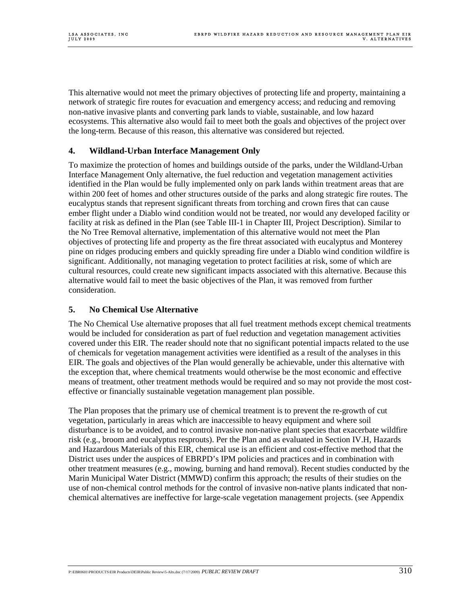This alternative would not meet the primary objectives of protecting life and property, maintaining a network of strategic fire routes for evacuation and emergency access; and reducing and removing non-native invasive plants and converting park lands to viable, sustainable, and low hazard ecosystems. This alternative also would fail to meet both the goals and objectives of the project over the long-term. Because of this reason, this alternative was considered but rejected.

### **4. Wildland-Urban Interface Management Only**

To maximize the protection of homes and buildings outside of the parks, under the Wildland-Urban Interface Management Only alternative, the fuel reduction and vegetation management activities identified in the Plan would be fully implemented only on park lands within treatment areas that are within 200 feet of homes and other structures outside of the parks and along strategic fire routes. The eucalyptus stands that represent significant threats from torching and crown fires that can cause ember flight under a Diablo wind condition would not be treated, nor would any developed facility or facility at risk as defined in the Plan (see Table III-1 in Chapter III, Project Description). Similar to the No Tree Removal alternative, implementation of this alternative would not meet the Plan objectives of protecting life and property as the fire threat associated with eucalyptus and Monterey pine on ridges producing embers and quickly spreading fire under a Diablo wind condition wildfire is significant. Additionally, not managing vegetation to protect facilities at risk, some of which are cultural resources, could create new significant impacts associated with this alternative. Because this alternative would fail to meet the basic objectives of the Plan, it was removed from further consideration.

#### **5. No Chemical Use Alternative**

The No Chemical Use alternative proposes that all fuel treatment methods except chemical treatments would be included for consideration as part of fuel reduction and vegetation management activities covered under this EIR. The reader should note that no significant potential impacts related to the use of chemicals for vegetation management activities were identified as a result of the analyses in this EIR. The goals and objectives of the Plan would generally be achievable, under this alternative with the exception that, where chemical treatments would otherwise be the most economic and effective means of treatment, other treatment methods would be required and so may not provide the most costeffective or financially sustainable vegetation management plan possible.

The Plan proposes that the primary use of chemical treatment is to prevent the re-growth of cut vegetation, particularly in areas which are inaccessible to heavy equipment and where soil disturbance is to be avoided, and to control invasive non-native plant species that exacerbate wildfire risk (e.g., broom and eucalyptus resprouts). Per the Plan and as evaluated in Section IV.H, Hazards and Hazardous Materials of this EIR, chemical use is an efficient and cost-effective method that the District uses under the auspices of EBRPD's IPM policies and practices and in combination with other treatment measures (e.g., mowing, burning and hand removal). Recent studies conducted by the Marin Municipal Water District (MMWD) confirm this approach; the results of their studies on the use of non-chemical control methods for the control of invasive non-native plants indicated that nonchemical alternatives are ineffective for large-scale vegetation management projects. (see Appendix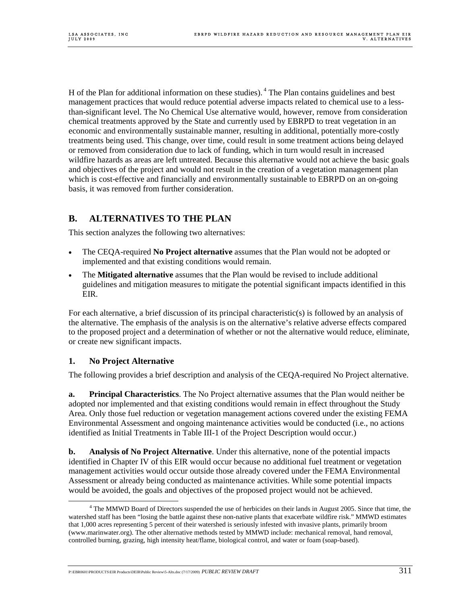H of the Plan for additional information on these studies).  $4$  The Plan contains guidelines and best management practices that would reduce potential adverse impacts related to chemical use to a lessthan-significant level. The No Chemical Use alternative would, however, remove from consideration chemical treatments approved by the State and currently used by EBRPD to treat vegetation in an economic and environmentally sustainable manner, resulting in additional, potentially more-costly treatments being used. This change, over time, could result in some treatment actions being delayed or removed from consideration due to lack of funding, which in turn would result in increased wildfire hazards as areas are left untreated. Because this alternative would not achieve the basic goals and objectives of the project and would not result in the creation of a vegetation management plan which is cost-effective and financially and environmentally sustainable to EBRPD on an on-going basis, it was removed from further consideration.

# **B. ALTERNATIVES TO THE PLAN**

This section analyzes the following two alternatives:

- The CEQA-required **No Project alternative** assumes that the Plan would not be adopted or implemented and that existing conditions would remain.
- The **Mitigated alternative** assumes that the Plan would be revised to include additional guidelines and mitigation measures to mitigate the potential significant impacts identified in this EIR.

For each alternative, a brief discussion of its principal characteristic(s) is followed by an analysis of the alternative. The emphasis of the analysis is on the alternative's relative adverse effects compared to the proposed project and a determination of whether or not the alternative would reduce, eliminate, or create new significant impacts.

#### **1. No Project Alternative**

The following provides a brief description and analysis of the CEQA-required No Project alternative.

**a. Principal Characteristics**. The No Project alternative assumes that the Plan would neither be adopted nor implemented and that existing conditions would remain in effect throughout the Study Area. Only those fuel reduction or vegetation management actions covered under the existing FEMA Environmental Assessment and ongoing maintenance activities would be conducted (i.e., no actions identified as Initial Treatments in Table III-1 of the Project Description would occur.)

**b. Analysis of No Project Alternative**. Under this alternative, none of the potential impacts identified in Chapter IV of this EIR would occur because no additional fuel treatment or vegetation management activities would occur outside those already covered under the FEMA Environmental Assessment or already being conducted as maintenance activities. While some potential impacts would be avoided, the goals and objectives of the proposed project would not be achieved.

 $\frac{1}{4}$  The MMWD Board of Directors suspended the use of herbicides on their lands in August 2005. Since that time, the watershed staff has been "losing the battle against these non-native plants that exacerbate wildfire risk." MMWD estimates that 1,000 acres representing 5 percent of their watershed is seriously infested with invasive plants, primarily broom (www.marinwater.org). The other alternative methods tested by MMWD include: mechanical removal, hand removal, controlled burning, grazing, high intensity heat/flame, biological control, and water or foam (soap-based).